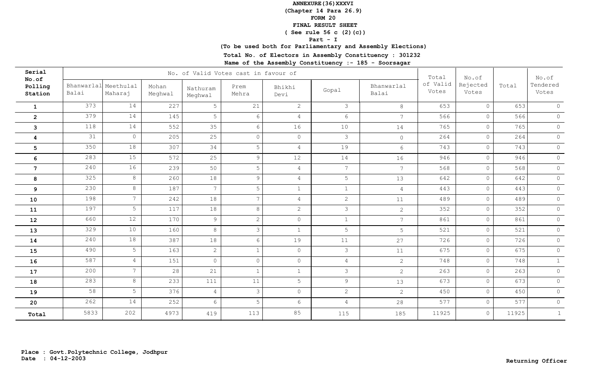**(Chapter 14 Para 26.9)**

**FORM 20**

 **FINAL RESULT SHEET**

 **( See rule 56 c (2)(c))**

### **Part - I**

## **(To be used both for Parliamentary and Assembly Elections)**

**Total No. of Electors in Assembly Constituency : 301232**

| Serial<br>No.of    |       |                                 |                  |                     | No. of Valid Votes cast in favour of |                |                 |                     | Total             | No.of             |       | No.of             |
|--------------------|-------|---------------------------------|------------------|---------------------|--------------------------------------|----------------|-----------------|---------------------|-------------------|-------------------|-------|-------------------|
| Polling<br>Station | Balai | Bhanwarlal Meethulal<br>Maharaj | Mohan<br>Meghwal | Nathuram<br>Meghwal | Prem<br>Mehra                        | Bhikhi<br>Devi | Gopal           | Bhanwarlal<br>Balai | of Valid<br>Votes | Rejected<br>Votes | Total | Tendered<br>Votes |
| $\mathbf{1}$       | 373   | 14                              | 227              | 5                   | 21                                   | 2              | 3               | 8                   | 653               | $\circ$           | 653   | $\circ$           |
| $\overline{2}$     | 379   | 14                              | 145              | 5                   | 6                                    | $\overline{4}$ | $6\overline{6}$ | $7\phantom{.0}$     | 566               | $\circ$           | 566   | $\circ$           |
| $\mathbf{3}$       | 118   | 14                              | 552              | 35                  | 6                                    | 16             | 10              | 14                  | 765               | $\circ$           | 765   | $\circ$           |
| 4                  | 31    | $\circ$                         | 205              | 25                  | $\circ$                              | $\circ$        | $\mathcal{S}$   | $\circ$             | 264               | $\circ$           | 264   | $\circledcirc$    |
| $5\phantom{.0}$    | 350   | 18                              | 307              | 34                  | 5                                    | $\overline{4}$ | 19              | $6\overline{6}$     | 743               | $\circ$           | 743   | $\circledcirc$    |
| 6                  | 283   | 15                              | 572              | 25                  | 9                                    | 12             | 14              | 16                  | 946               | $\circledcirc$    | 946   | $\circledcirc$    |
| $\overline{7}$     | 240   | 16                              | 239              | 50                  | 5                                    | $\overline{4}$ | $\overline{7}$  | $7\phantom{.0}$     | 568               | $\circ$           | 568   | $\circledcirc$    |
| 8                  | 325   | 8                               | 260              | 18                  | $\overline{9}$                       | $\overline{4}$ | 5               | 13                  | 642               | $\circledcirc$    | 642   | $\circledcirc$    |
| 9                  | 230   | 8                               | 187              | $7\overline{ }$     | 5                                    | $\mathbf{1}$   | $\mathbf{1}$    | $\overline{4}$      | 443               | $\circ$           | 443   | $\circledcirc$    |
| 10                 | 198   | 7 <sup>7</sup>                  | 242              | 18                  | $7\overline{ }$                      | $\overline{4}$ | $\overline{2}$  | 11                  | 489               | $\circ$           | 489   | $\circ$           |
| 11                 | 197   | 5                               | 117              | 18                  | 8                                    | 2              | $\mathcal{E}$   | $\overline{2}$      | 352               | $\circledcirc$    | 352   | $\circledcirc$    |
| 12                 | 660   | 12                              | 170              | 9                   | $\overline{2}$                       | $\circ$        | $\mathbf{1}$    | $7\overline{ }$     | 861               | $\circ$           | 861   | $\circledcirc$    |
| 13                 | 329   | 10                              | 160              | 8                   | $\mathcal{S}$                        | $\mathbf{1}$   | 5               | 5                   | 521               | $\circ$           | 521   | $\circledcirc$    |
| 14                 | 240   | 18                              | 387              | 18                  | 6                                    | 19             | 11              | 27                  | 726               | $\circ$           | 726   | $\circledcirc$    |
| 15                 | 490   | 5                               | 163              | $\overline{2}$      | $\mathbf{1}$                         | $\circ$        | $\mathcal{S}$   | 11                  | 675               | $\circ$           | 675   | $\circledcirc$    |
| 16                 | 587   | $\overline{4}$                  | 151              | $\circ$             | $\circ$                              | $\circledcirc$ | $\overline{4}$  | $\overline{2}$      | 748               | $\circ$           | 748   | $\mathbf{1}$      |
| 17                 | 200   | 7 <sup>7</sup>                  | 28               | 21                  | $\mathbf{1}$                         | $\mathbf{1}$   | $\mathcal{S}$   | $\overline{2}$      | 263               | $\circledcirc$    | 263   | $\circledcirc$    |
| 18                 | 283   | 8                               | 233              | 111                 | 11                                   | 5              | $\overline{9}$  | 13                  | 673               | $\circ$           | 673   | $\circledcirc$    |
| 19                 | 58    | 5                               | 376              | $\overline{4}$      | 3                                    | $\circ$        | $\overline{2}$  | $\overline{2}$      | 450               | $\circledcirc$    | 450   | $\circledcirc$    |
| 20                 | 262   | 14                              | 252              | 6                   | 5                                    | 6              | $\overline{4}$  | 28                  | 577               | $\circledcirc$    | 577   | $\circ$           |
| Total              | 5833  | 202                             | 4973             | 419                 | 113                                  | 85             | 115             | 185                 | 11925             | $\circ$           | 11925 | $\mathbf{1}$      |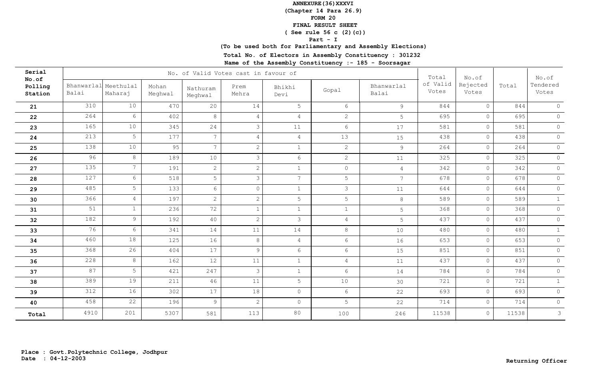**(Chapter 14 Para 26.9)**

**FORM 20**

 **FINAL RESULT SHEET**

 **( See rule 56 c (2)(c))**

### **Part - I**

## **(To be used both for Parliamentary and Assembly Elections)**

**Total No. of Electors in Assembly Constituency : 301232**

| Serial<br>No.of    |                     |                      |                  |                     | No. of Valid Votes cast in favour of |                 |                 |                     | Total             | No.of             |       | No.of             |
|--------------------|---------------------|----------------------|------------------|---------------------|--------------------------------------|-----------------|-----------------|---------------------|-------------------|-------------------|-------|-------------------|
| Polling<br>Station | Bhanwarlal<br>Balai | Meethulal<br>Maharaj | Mohan<br>Meghwal | Nathuram<br>Meghwal | Prem<br>Mehra                        | Bhikhi<br>Devi  | Gopal           | Bhanwarlal<br>Balai | of Valid<br>Votes | Rejected<br>Votes | Total | Tendered<br>Votes |
| 21                 | 310                 | 10                   | 470              | 20                  | 14                                   | 5               | 6               | $\theta$            | 844               | $\circ$           | 844   | $\overline{0}$    |
| 22                 | 264                 | $6\overline{6}$      | 402              | 8                   | 4                                    | $\overline{4}$  | $\mathbf{2}$    | 5                   | 695               | $\circ$           | 695   | $\circledcirc$    |
| 23                 | 165                 | 10                   | 345              | 24                  | 3                                    | 11              | 6               | 17                  | 581               | $\circ$           | 581   | $\circledcirc$    |
| ${\bf 24}$         | 213                 | 5                    | 177              | $7\overline{ }$     | 4                                    | $\sqrt{4}$      | 13              | 15                  | 438               | $\circ$           | 438   | $\circledcirc$    |
| 25                 | 138                 | 10                   | 95               | $7\overline{ }$     | $\overline{2}$                       | $\mathbf{1}$    | $\overline{2}$  | $\overline{9}$      | 264               | $\circ$           | 264   | $\circledcirc$    |
| 26                 | 96                  | 8                    | 189              | 10                  | $\mathcal{S}$                        | $6\phantom{.}6$ | $\overline{2}$  | 11                  | 325               | $\circledcirc$    | 325   | $\circledcirc$    |
| 27                 | 135                 | $7\overline{ }$      | 191              | $\overline{2}$      | $\overline{c}$                       | $\mathbf{1}$    | $\circ$         | $\overline{4}$      | 342               | $\circ$           | 342   | $\circledcirc$    |
| 28                 | 127                 | 6                    | 518              | 5                   | $\mathcal{E}$                        | $7\phantom{.0}$ | 5               | $7\overline{ }$     | 678               | $\circledcirc$    | 678   | $\circledcirc$    |
| 29                 | 485                 | 5                    | 133              | 6                   | $\Omega$                             | $\mathbf{1}$    | $\mathcal{S}$   | 11                  | 644               | $\circ$           | 644   | $\circ$           |
| 30                 | 366                 | $\overline{4}$       | 197              | $2^{\circ}$         | $\overline{2}$                       | 5               | 5               | $8\,$               | 589               | $\circ$           | 589   | $\mathbf{1}$      |
| 31                 | 51                  | $\mathbf{1}$         | 236              | 72                  | $\mathbf{1}$                         | $\mathbf{1}$    | $\mathbf{1}$    | 5                   | 368               | $\circ$           | 368   | $\circledcirc$    |
| 32                 | 182                 | 9                    | 192              | 40                  | $\overline{2}$                       | $\mathcal{S}$   | $\overline{4}$  | 5                   | 437               | $\circledcirc$    | 437   | $\circledcirc$    |
| 33                 | 76                  | 6                    | 341              | 14                  | 11                                   | 14              | 8               | 10                  | 480               | $\circ$           | 480   | $\mathbf{1}$      |
| 34                 | 460                 | 18                   | 125              | 16                  | 8                                    | $\overline{4}$  | 6               | 16                  | 653               | $\circ$           | 653   | $\circ$           |
| 35                 | 368                 | 26                   | 404              | 17                  | $\overline{9}$                       | $6\overline{6}$ | $6\overline{6}$ | 15                  | 851               | $\circ$           | 851   | $\circledcirc$    |
| 36                 | 228                 | $8\,$                | 162              | 12                  | 11                                   | $\mathbf{1}$    | $\overline{4}$  | 11                  | 437               | $\circledcirc$    | 437   | $\circledcirc$    |
| 37                 | 87                  | 5                    | 421              | 247                 | $\mathcal{S}$                        | $\mathbf 1$     | $6\overline{6}$ | 14                  | 784               | $\circ$           | 784   | $\circledcirc$    |
| 38                 | 389                 | 19                   | 211              | 46                  | 11                                   | 5               | 10              | 30                  | 721               | $\circ$           | 721   | $\mathbf 1$       |
| 39                 | 312                 | 16                   | 302              | 17                  | 18                                   | $\circledcirc$  | $6\overline{6}$ | 22                  | 693               | $\circ$           | 693   | $\circledcirc$    |
| 40                 | 458                 | 22                   | 196              | 9                   | $\overline{2}$                       | $\circledcirc$  | 5               | 22                  | 714               | $\circledcirc$    | 714   | $\circ$           |
| Total              | 4910                | 201                  | 5307             | 581                 | 113                                  | 80              | 100             | 246                 | 11538             | $\circ$           | 11538 | $\mathcal{S}$     |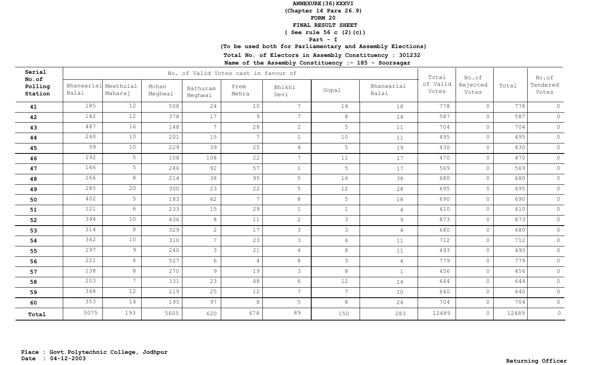**(Chapter 14 Para 26.9)**

**FORM 20**

 **FINAL RESULT SHEET**

 **( See rule 56 c (2)(c))**

### **Part - I**

## **(To be used both for Parliamentary and Assembly Elections)**

**Total No. of Electors in Assembly Constituency : 301232**

| Serial                      |                               |                 |                  |                     | No. of Valid Votes cast in favour of |                 |                |                     | Total             | No.of             |       | No.of             |
|-----------------------------|-------------------------------|-----------------|------------------|---------------------|--------------------------------------|-----------------|----------------|---------------------|-------------------|-------------------|-------|-------------------|
| No.of<br>Polling<br>Station | Bhanwarlal Meethulal<br>Balai | Maharaj         | Mohan<br>Meghwal | Nathuram<br>Meghwal | Prem<br>Mehra                        | Bhikhi<br>Devi  | Gopal          | Bhanwarlal<br>Balai | of Valid<br>Votes | Rejected<br>Votes | Total | Tendered<br>Votes |
| 41                          | 185                           | 12              | 508              | 24                  | 10                                   | $7\overline{ }$ | 14             | 18                  | 778               | $\circ$           | 778   | $\overline{0}$    |
| 42                          | 142                           | 12              | 378              | 17                  | 9                                    | $7\overline{ }$ | 8              | 14                  | 587               | $\circ$           | 587   | $\circ$           |
| 43                          | 487                           | 16              | 148              | $7\phantom{.0}$     | 28                                   | 2               | 5              | 11                  | 704               | $\circ$           | 704   | $\Omega$          |
| 44                          | 240                           | 10              | 201              | 15                  | 7                                    | $\mathbf{1}$    | 10             | 11                  | 495               | $\circ$           | 495   | $\circ$           |
| 45                          | 99                            | 10              | 229              | 39                  | 25                                   | $\overline{4}$  | 5              | 19                  | 430               | $\circ$           | 430   | $\circ$           |
| 46                          | 192                           | 5               | 108              | 108                 | 22                                   | $7\overline{ }$ | 11             | 17                  | 470               | $\circledcirc$    | 470   | $\circ$           |
| 47                          | 146                           | 5               | 246              | 92                  | 57                                   | $\mathbf{1}$    | 5              | 17                  | 569               | $\circ$           | 569   | $\circ$           |
| 48                          | 266                           | 8               | 214              | 38                  | 95                                   | 5               | 16             | 38                  | 680               | $\circledcirc$    | 680   | $\circ$           |
| 49                          | 285                           | 20              | 300              | 23                  | 22                                   | 5               | 12             | 28                  | 695               | $\circ$           | 695   | $\circ$           |
| 50                          | 402                           | 5               | 183              | 62                  | $7\phantom{.0}$                      | 8               | 5              | $18\,$              | 690               | $\circledcirc$    | 690   | $\circ$           |
| 51                          | 121                           | 6               | 233              | 15                  | 29                                   | $\mathbf{1}$    | $\mathbf{1}$   | $\overline{4}$      | 410               | $\circ$           | 410   | $\circ$           |
| 52                          | 394                           | 10              | 436              | 8                   | 11                                   | 2               | $\mathcal{S}$  | 9                   | 873               | $\circ$           | 873   | $\circ$           |
| 53                          | 314                           | 8               | 329              | $\overline{2}$      | 17                                   | $\mathcal{S}$   | $\mathcal{S}$  | $\overline{4}$      | 680               | $\circ$           | 680   | $\circledcirc$    |
| 54                          | 342                           | 10              | 310              | $7\overline{ }$     | 23                                   | $\mathcal{S}$   | 6              | 11                  | 712               | $\circ$           | 712   | $\circ$           |
| 55                          | 197                           | 9               | 240              | $\mathcal{S}$       | 21                                   | $\overline{4}$  | 8              | 11                  | 493               | $\circ$           | 493   | $\circ$           |
| 56                          | 221                           | $6\overline{6}$ | 527              | 6                   | $\overline{4}$                       | $8\,$           | $\mathcal{S}$  | $\overline{4}$      | 779               | $\circ$           | 779   | $\circledcirc$    |
| 57                          | 138                           | 8               | 270              | $\overline{9}$      | 19                                   | $\mathcal{S}$   | 8              | $1\,$               | 456               | $\circ$           | 456   | $\circledcirc$    |
| 58                          | 203                           | $7\overline{ }$ | 331              | 23                  | 48                                   | $6\overline{6}$ | 12             | 14                  | 644               | $\overline{0}$    | 644   | $\circledcirc$    |
| 59                          | 348                           | 12              | 219              | 25                  | 12                                   | $\overline{7}$  | $\overline{7}$ | 10                  | 640               | $\circ$           | 640   | $\circ$           |
| 60                          | 353                           | 14              | 195              | 97                  | 8                                    | 5               | 8              | 24                  | 704               | $\circ$           | 704   | $\circ$           |
| Total                       | 5075                          | 193             | 5605             | 620                 | 474                                  | 89              | 150            | 283                 | 12489             | $\overline{0}$    | 12489 | $\circ$           |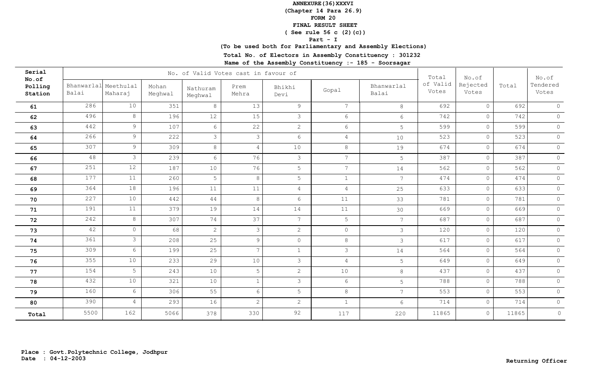**(Chapter 14 Para 26.9)**

**FORM 20**

 **FINAL RESULT SHEET**

 **( See rule 56 c (2)(c))**

### **Part - I**

## **(To be used both for Parliamentary and Assembly Elections)**

**Total No. of Electors in Assembly Constituency : 301232**

| Serial<br>No.of    |                     |                      |                  |                     | No. of Valid Votes cast in favour of |                 |                 |                     | Total             | No.of             |       | No.of             |
|--------------------|---------------------|----------------------|------------------|---------------------|--------------------------------------|-----------------|-----------------|---------------------|-------------------|-------------------|-------|-------------------|
| Polling<br>Station | Bhanwarlal<br>Balai | Meethulal<br>Maharaj | Mohan<br>Meghwal | Nathuram<br>Meghwal | Prem<br>Mehra                        | Bhikhi<br>Devi  | Gopal           | Bhanwarlal<br>Balai | of Valid<br>Votes | Rejected<br>Votes | Total | Tendered<br>Votes |
| 61                 | 286                 | 10                   | 351              | 8                   | 13                                   | 9               | $7\overline{ }$ | 8                   | 692               | $\Omega$          | 692   | $\circ$           |
| 62                 | 496                 | 8                    | 196              | 12                  | 15                                   | $\mathcal{S}$   | 6               | $6\overline{6}$     | 742               | $\circ$           | 742   | $\circledcirc$    |
| 63                 | 442                 | $\overline{9}$       | 107              | 6                   | 22                                   | 2               | $6\overline{6}$ | 5                   | 599               | $\circ$           | 599   | $\circledcirc$    |
| 64                 | 266                 | 9                    | 222              | 3                   | 3                                    | 6               | $\overline{4}$  | 10                  | 523               | $\circ$           | 523   | $\circledcirc$    |
| 65                 | 307                 | 9 <sup>°</sup>       | 309              | 8                   | $\overline{4}$                       | 10              | 8               | 19                  | 674               | $\circ$           | 674   | $\circledcirc$    |
| 66                 | 48                  | 3                    | 239              | 6                   | 76                                   | $\mathcal{S}$   | $7\overline{ }$ | 5                   | 387               | $\circ$           | 387   | $\circ$           |
| 67                 | 251                 | 12                   | 187              | 10                  | 76                                   | 5               | $7^{\circ}$     | 14                  | 562               | $\circledcirc$    | 562   | $\circledcirc$    |
| 68                 | 177                 | 11                   | 260              | 5                   | 8                                    | 5               | $\mathbf{1}$    | $7\phantom{.0}$     | 474               | $\circ$           | 474   | $\circledcirc$    |
| 69                 | 364                 | 18                   | 196              | 11                  | 11                                   | $\overline{4}$  | $\overline{4}$  | 25                  | 633               | $\circledcirc$    | 633   | $\circledcirc$    |
| 70                 | 227                 | 10                   | 442              | 44                  | 8                                    | 6               | 11              | 33                  | 781               | $\circ$           | 781   | $\circ$           |
| 71                 | 191                 | 11                   | 379              | 19                  | 14                                   | 14              | 11              | 30                  | 669               | $\circ$           | 669   | $\circledcirc$    |
| 72                 | 242                 | 8                    | 307              | 74                  | 37                                   | $7\phantom{.0}$ | 5               | $7\overline{ }$     | 687               | $\circ$           | 687   | $\circ$           |
| 73                 | 42                  | $\circledcirc$       | 68               | $\overline{2}$      | $\mathcal{S}$                        | 2               | $\circ$         | $\mathcal{S}$       | 120               | $\circ$           | 120   | $\circledcirc$    |
| 74                 | 361                 | $\mathcal{S}$        | 208              | 25                  | $\mathcal{G}$                        | $\circ$         | 8               | $\mathcal{E}$       | 617               | $\circ$           | 617   | $\circ$           |
| 75                 | 309                 | $6\overline{6}$      | 199              | 25                  | $7\overline{ }$                      | $\mathbf{1}$    | $\mathcal{S}$   | 14                  | 564               | $\circledcirc$    | 564   | $\circledcirc$    |
| 76                 | 355                 | $10$                 | 233              | 29                  | 10                                   | $\mathcal{S}$   | $\overline{4}$  | 5                   | 649               | $\circ$           | 649   | $\circledcirc$    |
| 77                 | 154                 | 5                    | 243              | 10                  | 5                                    | 2               | 10              | 8                   | 437               | $\circledcirc$    | 437   | $\circledcirc$    |
| 78                 | 432                 | $10$                 | 321              | 10                  |                                      | $\mathcal{S}$   | $6\overline{6}$ | 5                   | 788               | $\circledcirc$    | 788   | $\circ$           |
| 79                 | 160                 | 6                    | 306              | 55                  | 6                                    | 5               | 8               | $7\overline{ }$     | 553               | $\circ$           | 553   | $\circ$           |
| 80                 | 390                 | $\overline{4}$       | 293              | 16                  | 2                                    | 2               | $\mathbf{1}$    | 6                   | 714               | $\circ$           | 714   | $\circ$           |
| Total              | 5500                | 162                  | 5066             | 378                 | 330                                  | 92              | 117             | 220                 | 11865             | $\circ$           | 11865 | $\circ$           |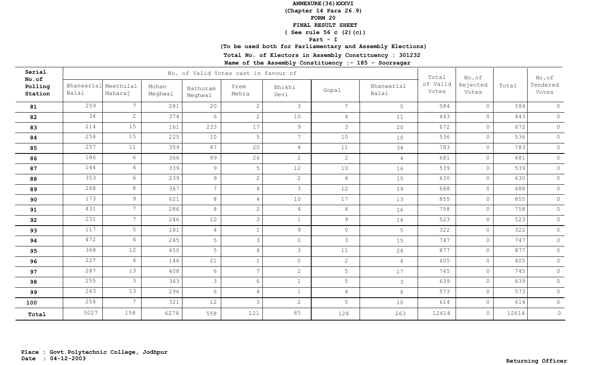**(Chapter 14 Para 26.9)**

**FORM 20**

 **FINAL RESULT SHEET**

 **( See rule 56 c (2)(c))**

### **Part - I**

## **(To be used both for Parliamentary and Assembly Elections)**

**Total No. of Electors in Assembly Constituency : 301232**

| Serial<br>No.of    |                               |                 |                  |                     | No. of Valid Votes cast in favour of |                 |                 |                     | Total             | No.of             |       | No.of             |
|--------------------|-------------------------------|-----------------|------------------|---------------------|--------------------------------------|-----------------|-----------------|---------------------|-------------------|-------------------|-------|-------------------|
| Polling<br>Station | Bhanwarlal Meethulal<br>Balai | Maharaj         | Mohan<br>Meghwal | Nathuram<br>Meghwal | Prem<br>Mehra                        | Bhikhi<br>Devi  | Gopal           | Bhanwarlal<br>Balai | of Valid<br>Votes | Rejected<br>Votes | Total | Tendered<br>Votes |
| 81                 | 259                           | $7\phantom{.0}$ | 281              | 20                  | $\mathbf{2}$                         | $\mathcal{S}$   | $7\overline{ }$ | 5                   | 584               | $\circ$           | 584   | $\Omega$          |
| 82                 | 34                            | $\mathbf{2}$    | 374              | $6\overline{6}$     | 2                                    | 10              | $\overline{4}$  | 11                  | 443               | $\circ$           | 443   | $\circ$           |
| 83                 | 214                           | 15              | 161              | 233                 | 17                                   | $\overline{9}$  | $\mathcal{S}$   | 20                  | 672               | $\circ$           | 672   | $\circ$           |
| 84                 | 254                           | 15              | 225              | 10                  | 5                                    | $7\overline{ }$ | 10              | 10                  | 536               | $\circ$           | 536   | $\circledcirc$    |
| 85                 | 257                           | 11              | 359              | 87                  | 20                                   | $\overline{4}$  | 11              | 34                  | 783               | $\circ$           | 783   | $\circ$           |
| 86                 | 186                           | 6               | 366              | 89                  | 26                                   | 2               | $2^{\circ}$     | $\overline{4}$      | 681               | $\circledcirc$    | 681   | $\circledcirc$    |
| 87                 | 144                           | $\overline{4}$  | 339              | $\overline{9}$      | 5                                    | 12              | 10              | 16                  | 539               | $\circ$           | 539   | $\circledcirc$    |
| 88                 | 353                           | 6               | 239              | $\overline{9}$      | $\overline{2}$                       | 2               | $\overline{4}$  | 15                  | 630               | $\circ$           | 630   | $\circ$           |
| 89                 | 268                           | 8               | 367              | $\overline{7}$      | $\overline{4}$                       | $\mathcal{S}$   | 12              | 19                  | 688               | $\circ$           | 688   | $\circledcirc$    |
| 90                 | 173                           | 9 <sup>°</sup>  | 621              | 8                   | $\overline{4}$                       | 10              | 17              | 13                  | 855               | $\circ$           | 855   | $\circ$           |
| 91                 | 431                           | $7\overline{ }$ | 286              | 8                   | $\mathbf{2}$                         | $\overline{4}$  | $\overline{4}$  | 16                  | 758               | $\circ$           | 758   | $\circledcirc$    |
| 92                 | 231                           | $7\overline{ }$ | 246              | 10                  | $\mathcal{S}$                        | $\mathbf{1}$    | $\overline{9}$  | 16                  | 523               | $\circ$           | 523   | $\circ$           |
| 93                 | 117                           | $5\overline{)}$ | 181              | $\overline{4}$      |                                      | $\overline{9}$  | $\overline{0}$  | 5                   | 322               | $\circledcirc$    | 322   | $\circledcirc$    |
| 94                 | 472                           | $\overline{4}$  | 245              | 5                   | 3                                    | $\circ$         | 3               | 15                  | 747               | $\circ$           | 747   | $\circ$           |
| 95                 | 368                           | 12              | 450              | 5                   | $\overline{4}$                       | $\mathcal{S}$   | 11              | 24                  | 877               | $\circ$           | 877   | $\circledcirc$    |
| 96                 | 227                           | $\overline{4}$  | 146              | 21                  |                                      | $\circledcirc$  | $2^{\circ}$     | $\overline{4}$      | 405               | $\overline{0}$    | 405   | $\circledcirc$    |
| 97                 | 287                           | $\overline{13}$ | 408              | $6\overline{6}$     | $\overline{7}$                       | 2               | 5               | 17                  | 745               | $\overline{0}$    | 745   | $\circ$           |
| 98                 | 255                           | $\mathcal{S}$   | 363              | $\mathcal{S}$       | 6                                    | $\mathbf{1}$    | 5               | $\mathfrak{Z}$      | 639               | $\overline{0}$    | 639   | $\circledcirc$    |
| 99                 | 243                           | 13              | 296              | 6                   | $\overline{4}$                       | $\mathbf{1}$    | $\overline{4}$  | 6                   | 573               | $\circ$           | 573   | $\circ$           |
| 100                | 254                           | $7\overline{ }$ | 321              | $12\,$              | 3                                    | 2               | 5               | 10                  | 614               | $\circ$           | 614   | $\circ$           |
| Total              | 5027                          | 158             | 6274             | 558                 | 121                                  | 85              | 128             | 263                 | 12614             | $\circ$           | 12614 | $\circ$           |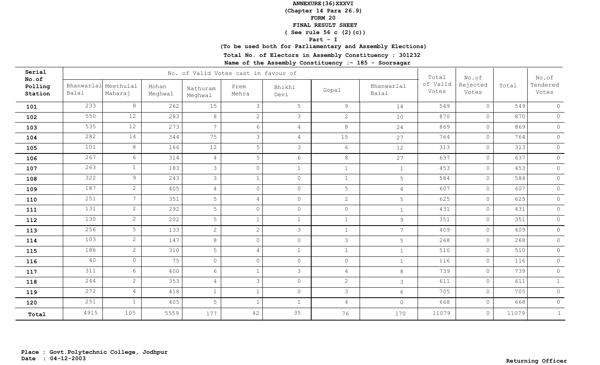**(Chapter 14 Para 26.9)**

**FORM 20**

 **FINAL RESULT SHEET**

 **( See rule 56 c (2)(c))**

### **Part - I**

## **(To be used both for Parliamentary and Assembly Elections)**

**Total No. of Electors in Assembly Constituency : 301232**

| Serial<br>No.of    |                     |                      |                  |                     | No. of Valid Votes cast in favour of |                 |                 |                     | Total             | No.of             |       | No.of             |
|--------------------|---------------------|----------------------|------------------|---------------------|--------------------------------------|-----------------|-----------------|---------------------|-------------------|-------------------|-------|-------------------|
| Polling<br>Station | Bhanwarlal<br>Balai | Meethulal<br>Maharaj | Mohan<br>Meghwal | Nathuram<br>Meghwal | Prem<br>Mehra                        | Bhikhi<br>Devi  | Gopal           | Bhanwarlal<br>Balai | of Valid<br>Votes | Rejected<br>Votes | Total | Tendered<br>Votes |
| 101                | 233                 | 8                    | 262              | 15                  | 3                                    | 5               | 9               | 14                  | 549               | $\circ$           | 549   | $\circ$           |
| 102                | 550                 | 12                   | 283              | 8                   | $\mathbf{2}$                         | $\mathcal{S}$   | $\mathbf{2}$    | 10                  | 870               | $\circ$           | 870   | $\mathsf{O}^-$    |
| 103                | 535                 | 12                   | 273              | $\overline{7}$      | 6                                    | $\overline{4}$  | 8               | 24                  | 869               | $\circ$           | 869   | $\circledcirc$    |
| 104                | 282                 | 14                   | 344              | 75                  | 3                                    | $\overline{4}$  | 15              | 27                  | 764               | $\circ$           | 764   | $\circledcirc$    |
| 105                | 101                 | 8                    | 166              | 12                  | 5                                    | $\mathcal{E}$   | $6\overline{6}$ | 12                  | 313               | $\circ$           | 313   | $\circledcirc$    |
| 106                | 267                 | 6                    | 314              | $\overline{4}$      | 5                                    | $6\overline{6}$ | 8               | 27                  | 637               | $\circ$           | 637   | $\circ$           |
| 107                | 263                 | $\mathbf{1}$         | 183              | 3                   | $\circ$                              | $\mathbf{1}$    | $\mathbf{1}$    | $\mathbf{1}$        | 453               | $\circ$           | 453   | $\circ$           |
| 108                | 322                 | 9                    | 243              | 3                   | $\mathbf{1}$                         | $\circ$         | $\mathbf{1}$    | 5                   | 584               | $\circ$           | 584   | $\circ$           |
| 109                | 187                 | $\overline{2}$       | 405              | $\overline{4}$      | $\circ$                              | $\circ$         | 5               | $\overline{4}$      | 607               | $\circ$           | 607   | $\circledcirc$    |
| 110                | 251                 | $7\overline{ }$      | 351              | 5                   | 4                                    | $\circ$         | $\overline{2}$  | 5                   | 625               | $\circ$           | 625   | $\circ$           |
| 111                | 131                 | $\overline{2}$       | 292              | 5                   | $\circ$                              | $\circ$         | $\circ$         | $\mathbf{1}$        | 431               | $\circ$           | 431   | $\circledcirc$    |
| 112                | 130                 | $\overline{2}$       | 202              | 5                   | $\mathbf{1}$                         | $\mathbf{1}$    | $\mathbf{1}$    | $\overline{9}$      | 351               | $\circledcirc$    | 351   | $\circledcirc$    |
| 113                | 256                 | 5                    | 133              | $\overline{2}$      | $\overline{2}$                       | $\mathcal{S}$   | $\mathbf{1}$    | $7\phantom{.0}$     | 409               | $\circledcirc$    | 409   | $\circ$           |
| 114                | 103                 | $\overline{2}$       | 147              | 8                   | $\circ$                              | $\circ$         | $\mathcal{S}$   | 5                   | 268               | $\circ$           | 268   | $\circledcirc$    |
| 115                | 186                 | $\overline{2}$       | 310              | 5                   | $\overline{4}$                       | $\mathbf{1}$    | $\mathbf{1}$    | $\mathbf{1}$        | 510               | $\circ$           | 510   | $\circledcirc$    |
| 116                | 40                  | $\circ$              | 75               | $\circ$             | $\Omega$                             | $\circ$         | $\circ$         | $\mathbf{1}$        | 116               | $\circ$           | 116   | $\circledcirc$    |
| 117                | 311                 | 6 <sup>1</sup>       | 400              | 6                   | $\mathbf{1}$                         | $\mathcal{S}$   | $\overline{4}$  | 8                   | 739               | $\circ$           | 739   | $\circledcirc$    |
| 118                | 244                 | $\overline{2}$       | 353              | $\overline{4}$      | 3                                    | $\circledcirc$  | $\overline{2}$  | $\mathcal{S}$       | 611               | $\circledcirc$    | 611   | $\mathbf{1}$      |
| 119                | 272                 | $\overline{4}$       | 418              | $\mathbf{1}$        | $\mathbf{1}$                         | $\circ$         | $\mathcal{E}$   | $6\overline{6}$     | 705               | $\circ$           | 705   | $\circ$           |
| 120                | 251                 | $\mathbf{1}$         | 405              | 5                   | $\mathbf{1}$                         | $\mathbf{1}$    | $\overline{4}$  | $\circ$             | 668               | $\circ$           | 668   | $\circ$           |
| Total              | 4915                | 105                  | 5559             | 177                 | 42                                   | 35              | 76              | 170                 | 11079             | $\circ$           | 11079 | $\mathbf{1}$      |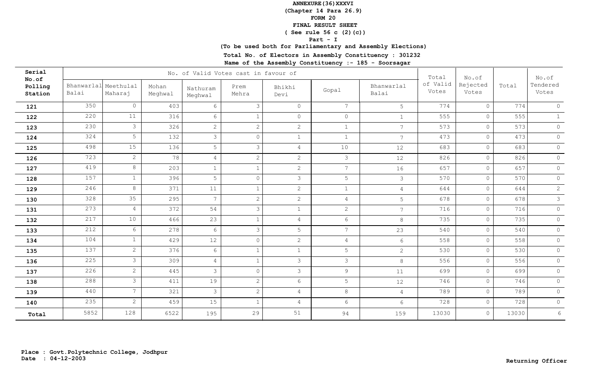**(Chapter 14 Para 26.9)**

**FORM 20**

 **FINAL RESULT SHEET**

 **( See rule 56 c (2)(c))**

### **Part - I**

## **(To be used both for Parliamentary and Assembly Elections)**

**Total No. of Electors in Assembly Constituency : 301232**

| Serial<br>No.of    |                     |                      |                  |                     | No. of Valid Votes cast in favour of |                |                 |                     | Total             | No.of             |       | No.of             |
|--------------------|---------------------|----------------------|------------------|---------------------|--------------------------------------|----------------|-----------------|---------------------|-------------------|-------------------|-------|-------------------|
| Polling<br>Station | Bhanwarlal<br>Balai | Meethulal<br>Maharaj | Mohan<br>Meghwal | Nathuram<br>Meghwal | Prem<br>Mehra                        | Bhikhi<br>Devi | Gopal           | Bhanwarlal<br>Balai | of Valid<br>Votes | Rejected<br>Votes | Total | Tendered<br>Votes |
| 121                | 350                 | $\circ$              | 403              | 6                   | 3                                    | $\circ$        | $7^{\circ}$     | 5 <sup>1</sup>      | 774               | $\circ$           | 774   | $\circ$           |
| 122                | 220                 | 11                   | 316              | $6\overline{6}$     | $\mathbf{1}$                         | $\circ$        | $\circ$         | $\mathbf{1}$        | 555               | $\circ$           | 555   | $\mathbf{1}$      |
| 123                | 230                 | $\mathfrak{Z}$       | 326              | $\mathbf{2}$        | 2                                    | 2              | $\mathbf{1}$    | $7\overline{ }$     | 573               | $\circ$           | 573   | $\circledcirc$    |
| 124                | 324                 | 5                    | 132              | 3                   | $\circ$                              | $1\,$          | $\mathbf{1}$    | $7\overline{ }$     | 473               | $\circ$           | 473   | $\circledcirc$    |
| 125                | 498                 | 15                   | 136              | 5                   | 3                                    | $\overline{4}$ | 10              | 12                  | 683               | $\circ$           | 683   | $\circledcirc$    |
| 126                | 723                 | $\mathbf{2}$         | 78               | $\overline{4}$      | $\overline{c}$                       | 2              | 3               | 12                  | 826               | $\circ$           | 826   | $\circledcirc$    |
| 127                | 419                 | 8                    | 203              | $\mathbf{1}$        | $\mathbf 1$                          | 2              | $7\overline{ }$ | 16                  | 657               | $\circ$           | 657   | $\circledcirc$    |
| 128                | 157                 | $\mathbf{1}$         | 396              | 5                   | $\circ$                              | $\mathcal{S}$  | 5               | $\mathcal{S}$       | 570               | $\circ$           | 570   | $\circ$           |
| 129                | 246                 | 8                    | 371              | 11                  | $\mathbf 1$                          | 2              | $\mathbf{1}$    | $\overline{4}$      | 644               | $\circ$           | 644   | $\overline{c}$    |
| 130                | 328                 | 35                   | 295              | $7\overline{ }$     | $\overline{c}$                       | 2              | $\overline{4}$  | 5                   | 678               | $\circ$           | 678   | $\mathcal{S}$     |
| 131                | 273                 | $\overline{4}$       | 372              | 54                  | 3                                    | $\mathbf{1}$   | 2               | $7\overline{ }$     | 716               | $\circ$           | 716   | $\circ$           |
| 132                | 217                 | 10                   | 466              | 23                  | $\mathbf 1$                          | $\overline{4}$ | 6               | $8\,$               | 735               | $\circ$           | 735   | $\circledcirc$    |
| 133                | 212                 | 6                    | 278              | 6                   | $\mathcal{E}$                        | 5              | $7\overline{ }$ | 23                  | 540               | $\circ$           | 540   | $\circ$           |
| 134                | 104                 | $\mathbf{1}$         | 429              | 12                  | $\circ$                              | $\overline{2}$ | 4               | 6                   | 558               | $\circ$           | 558   | $\circ$           |
| 135                | 137                 | $\overline{2}$       | 376              | 6                   | $\mathbf{1}$                         | $\mathbf{1}$   | 5               | $\overline{2}$      | 530               | $\circ$           | 530   | $\circ$           |
| 136                | 225                 | $\mathfrak{Z}$       | 309              | $\overline{4}$      | $\mathbf{1}$                         | $\mathcal{S}$  | 3               | 8                   | 556               | $\circ$           | 556   | $\circledcirc$    |
| 137                | 226                 | $\overline{2}$       | 445              | $\mathcal{S}$       | $\circ$                              | $\mathcal{S}$  | $\overline{9}$  | 11                  | 699               | $\circ$           | 699   | $\circledcirc$    |
| 138                | 288                 | $\mathcal{S}$        | 411              | 19                  | $\overline{c}$                       | $6\,$          | 5               | 12                  | 746               | $\circ$           | 746   | $\circledcirc$    |
| 139                | 440                 | 7 <sup>7</sup>       | 321              | $\mathcal{S}$       | $\overline{c}$                       | $\overline{4}$ | $8\,$           | $\overline{4}$      | 789               | $\circ$           | 789   | $\circledcirc$    |
| 140                | 235                 | $\mathbf{2}$         | 459              | 15                  | $\mathbf{1}$                         | $\overline{4}$ | $6\overline{6}$ | $6\phantom{.}6$     | 728               | $\circ$           | 728   | $\circ$           |
| Total              | 5852                | 128                  | 6522             | 195                 | 29                                   | 51             | 94              | 159                 | 13030             | $\circ$           | 13030 | 6                 |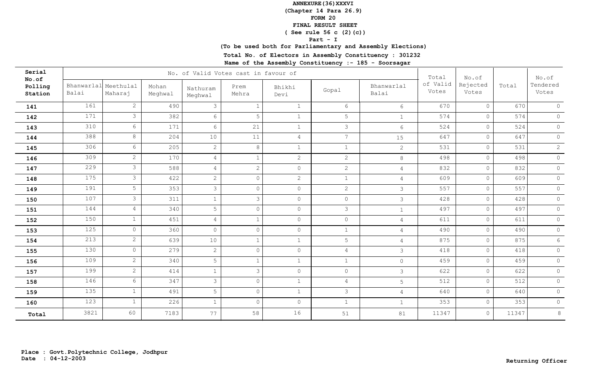**(Chapter 14 Para 26.9)**

**FORM 20**

 **FINAL RESULT SHEET**

 **( See rule 56 c (2)(c))**

### **Part - I**

## **(To be used both for Parliamentary and Assembly Elections)**

**Total No. of Electors in Assembly Constituency : 301232**

| Serial<br>No.of    |       |                                 |                  |                     | No. of Valid Votes cast in favour of |                |                |                     | Total             | No.of             |       | No.of             |
|--------------------|-------|---------------------------------|------------------|---------------------|--------------------------------------|----------------|----------------|---------------------|-------------------|-------------------|-------|-------------------|
| Polling<br>Station | Balai | Bhanwarlal Meethulal<br>Maharaj | Mohan<br>Meghwal | Nathuram<br>Meghwal | Prem<br>Mehra                        | Bhikhi<br>Devi | Gopal          | Bhanwarlal<br>Balai | of Valid<br>Votes | Rejected<br>Votes | Total | Tendered<br>Votes |
| 141                | 161   | $\overline{2}$                  | 490              | 3                   | $\mathbf{1}$                         | $\mathbf{1}$   | 6              | 6                   | 670               | $\circ$           | 670   | $\circ$           |
| 142                | 171   | $\mathcal{S}$                   | 382              | 6                   | $\mathsf S$                          | $\mathbf{1}$   | 5              | $\mathbf{1}$        | 574               | $\circ$           | 574   | $\circ$           |
| 143                | 310   | $6\overline{6}$                 | 171              | 6                   | 21                                   | $\mathbf{1}$   | $\mathcal{E}$  | $6\overline{6}$     | 524               | $\circ$           | 524   | $\circ$           |
| 144                | 388   | 8                               | 204              | 10                  | 11                                   | $\overline{4}$ | $\overline{7}$ | 15                  | 647               | $\circ$           | 647   | $\circledcirc$    |
| 145                | 306   | 6                               | 205              | $\overline{2}$      | $\,8\,$                              | $\mathbf{1}$   | $\mathbf{1}$   | $\overline{2}$      | 531               | $\circ$           | 531   | $\overline{c}$    |
| 146                | 309   | $\mathbf{2}$                    | 170              | $\overline{4}$      | $\mathbf{1}$                         | 2              | $\mathbf{2}$   | 8                   | 498               | $\circ$           | 498   | $\circ$           |
| 147                | 229   | $\mathcal{S}$                   | 588              | $\overline{4}$      | $\overline{2}$                       | $\circ$        | $\overline{2}$ | $\overline{4}$      | 832               | $\circ$           | 832   | $\circ$           |
| 148                | 175   | $\mathfrak{Z}$                  | 422              | $\overline{2}$      | $\Omega$                             | 2              | $\mathbf{1}$   | $\overline{4}$      | 609               | $\circ$           | 609   | $\circ$           |
| 149                | 191   | 5                               | 353              | $\mathcal{S}$       | $\circ$                              | $\circ$        | $\overline{2}$ | $\mathcal{S}$       | 557               | $\circ$           | 557   | $\circledcirc$    |
| 150                | 107   | $\mathcal{S}$                   | 311              | $\mathbf{1}$        | $\mathcal{E}$                        | $\circ$        | $\circ$        | $\mathcal{E}$       | 428               | $\circ$           | 428   | $\circ$           |
| 151                | 144   | $\overline{4}$                  | 340              | 5                   | $\circ$                              | $\circledcirc$ | $\mathcal{E}$  | $\mathbf{1}$        | 497               | $\circ$           | 497   | $\circledcirc$    |
| 152                | 150   | $\mathbf{1}$                    | 451              | $\overline{4}$      | $\mathbf{1}$                         | $\circ$        | $\circ$        | $\overline{4}$      | 611               | $\circ$           | 611   | $\circledcirc$    |
| 153                | 125   | $\circ$                         | 360              | $\circ$             | $\circ$                              | $\circ$        | $\mathbf 1$    | $\overline{4}$      | 490               | $\circ$           | 490   | $\circ$           |
| 154                | 213   | $\overline{2}$                  | 639              | 10                  | $\mathbf{1}$                         | $\mathbf{1}$   | 5              | $\overline{4}$      | 875               | $\circ$           | 875   | $6\,$             |
| 155                | 130   | $\circ$                         | 279              | $\mathbf{2}$        | $\circ$                              | $\circ$        | $\overline{4}$ | $\mathcal{S}$       | 418               | $\circ$           | 418   | $\circledcirc$    |
| 156                | 109   | $\overline{2}$                  | 340              | 5                   | $\mathbf{1}$                         | $\mathbf{1}$   | $\mathbf{1}$   | $\circ$             | 459               | $\circ$           | 459   | $\circledcirc$    |
| 157                | 199   | $\mathbf{2}$                    | 414              | $\mathbf{1}$        | 3                                    | $\circ$        | $\circ$        | $\mathcal{S}$       | 622               | $\circledcirc$    | 622   | $\circledcirc$    |
| 158                | 146   | 6                               | 347              | $\mathcal{S}$       | $\circ$                              | $\mathbf{1}$   | $\overline{4}$ | 5                   | 512               | $\circledcirc$    | 512   | $\circledcirc$    |
| 159                | 135   | $\mathbf{1}$                    | 491              | 5                   | $\circ$                              | $\mathbf{1}$   | $\mathcal{E}$  | $\overline{4}$      | 640               | $\circ$           | 640   | $\circledcirc$    |
| 160                | 123   | $\mathbf{1}$                    | 226              | $\mathbf{1}$        | $\Omega$                             | $\circ$        | $\mathbf{1}$   | $\mathbf{1}$        | 353               | $\circ$           | 353   | $\circ$           |
| Total              | 3821  | 60                              | 7183             | 77                  | 58                                   | 16             | 51             | 81                  | 11347             | $\circ$           | 11347 | 8                 |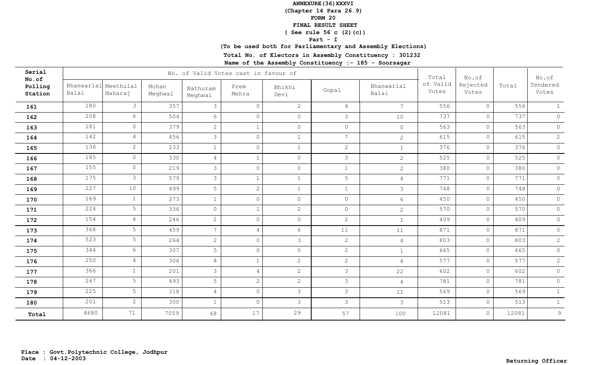**(Chapter 14 Para 26.9)**

**FORM 20**

 **FINAL RESULT SHEET**

 **( See rule 56 c (2)(c))**

### **Part - I**

## **(To be used both for Parliamentary and Assembly Elections)**

**Total No. of Electors in Assembly Constituency : 301232**

| Serial<br>No.of    |                               |                 |                  |                     | No. of Valid Votes cast in favour of |                |                       |                     | Total             | No.of             |       | No.of             |
|--------------------|-------------------------------|-----------------|------------------|---------------------|--------------------------------------|----------------|-----------------------|---------------------|-------------------|-------------------|-------|-------------------|
| Polling<br>Station | Bhanwarlal Meethulal<br>Balai | Maharaj         | Mohan<br>Meghwal | Nathuram<br>Meghwal | Prem<br>Mehra                        | Bhikhi<br>Devi | Gopal                 | Bhanwarlal<br>Balai | of Valid<br>Votes | Rejected<br>Votes | Total | Tendered<br>Votes |
| 161                | 180                           | $\mathfrak{Z}$  | 357              | 3                   | $\overline{0}$                       | 2              | $\overline{4}$        | $7\overline{ }$     | 556               | $\circ$           | 556   | $\mathbf{1}$      |
| 162                | 208                           | $6\overline{6}$ | 504              | 6                   | $\circ$                              | $\circ$        | $\mathcal{S}$         | 10                  | 737               | $\circ$           | 737   | $\circ$           |
| 163                | 181                           | $\circ$         | 379              | $\mathbf{2}$        |                                      | $\circ$        | $\circ$               | $\circ$             | 563               | $\circ$           | 563   | $\circ$           |
| 164                | 142                           | $\overline{4}$  | 456              | 3                   | $\circ$                              | $\mathbf{1}$   | $\overline{7}$        | $\overline{2}$      | 615               | $\circ$           | 615   | $\overline{2}$    |
| 165                | 136                           | $\mathbf{2}$    | 233              | $\mathbf{1}$        | $\Omega$                             | $\mathbf{1}$   | $\mathbf{2}^{\prime}$ | $\mathbf{1}$        | 376               | $\circ$           | 376   | $\circledcirc$    |
| 166                | 185                           | $\circ$         | 330              | $\overline{4}$      | $\mathbf{1}$                         | $\circledcirc$ | $\mathcal{S}$         | $\overline{2}$      | 525               | $\circledcirc$    | 525   | $\circledcirc$    |
| 167                | 155                           | $\circ$         | 219              | 3                   | $\Omega$                             | $\circ$        | $\mathbf{1}$          | $\overline{2}$      | 380               | $\circ$           | 380   | $\circledcirc$    |
| 168                | 175                           | $\mathcal{S}$   | 579              | 3                   | $\mathbf{1}$                         | $\mathbf{1}$   | 5                     | $\overline{4}$      | 771               | $\circledcirc$    | 771   | $\circledcirc$    |
| 169                | 227                           | 10              | 499              | 5                   | 2                                    | $\mathbf{1}$   | $\mathbf{1}$          | $\mathcal{E}$       | 748               | $\circ$           | 748   | $\circ$           |
| 170                | 169                           | $\mathbf{1}$    | 273              | $\mathbf{1}$        | $\circ$                              | $\circ$        | $\circ$               | $6\overline{6}$     | 450               | $\circ$           | 450   | $\circ$           |
| 171                | 224                           | 5               | 336              | $\circ$             | $\mathbf{1}$                         | 2              | $\circ$               | $\overline{2}$      | 570               | $\circledcirc$    | 570   | $\circ$           |
| 172                | 154                           | $\overline{4}$  | 246              | $\overline{2}$      | $\circ$                              | $\circ$        | $\overline{2}$        | $\mathbf{1}$        | 409               | $\circ$           | 409   | $\circ$           |
| 173                | 368                           | 5               | 459              | $7\overline{ }$     | $\overline{4}$                       | 6              | 11                    | 11                  | 871               | $\circ$           | 871   | $\circ$           |
| 174                | 523                           | 5               | 264              | $\overline{2}$      | $\circ$                              | $\mathcal{S}$  | $\overline{2}$        | $\overline{4}$      | 803               | $\circ$           | 803   | $\mathbf{2}$      |
| 175                | 344                           | $6\overline{6}$ | 307              | 5                   | $\circ$                              | $\circ$        | $\overline{2}$        | $\mathbf{1}$        | 665               | $\circ$           | 665   | $\circledcirc$    |
| 176                | 250                           | $\overline{4}$  | 306              | 8                   | $\mathbf{1}$                         | 2              | $\overline{2}$        | $\overline{4}$      | 577               | $\circ$           | 577   | $\mathbf{2}$      |
| 177                | 366                           | $\mathbf{1}$    | 201              | $\mathcal{S}$       | 4                                    | 2              | $\mathcal{S}$         | 22                  | 602               | $\circ$           | 602   | $\circ$           |
| 178                | 267                           | 5 <sup>1</sup>  | 493              | 5                   | $\overline{2}$                       | $\overline{2}$ | 3                     | $\overline{4}$      | 781               | $\circ$           | 781   | $\circledcirc$    |
| 179                | 225                           | 5               | 318              | $\overline{4}$      | $\overline{0}$                       | $\mathcal{S}$  | $\mathcal{S}$         | 11                  | 569               | $\circledcirc$    | 569   | $\mathbf 1$       |
| 180                | 201                           | $\mathbf{2}$    | 300              | $\mathbf{1}$        | $\circ$                              | $\mathcal{S}$  | $\mathcal{E}$         | $\mathcal{S}$       | 513               | $\circledcirc$    | 513   | $\mathbf{1}$      |
| Total              | 4680                          | 71              | 7059             | 68                  | 17                                   | 29             | 57                    | 100                 | 12081             | $\circ$           | 12081 | $\mathcal{G}$     |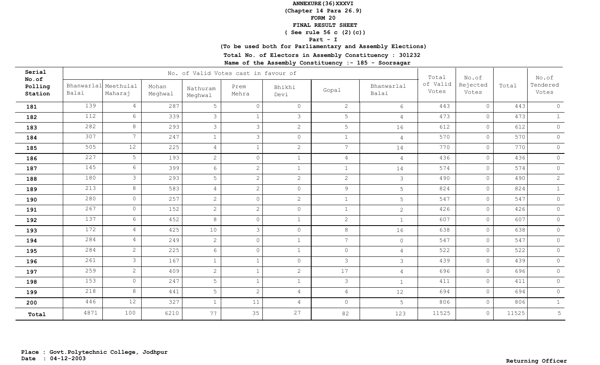**(Chapter 14 Para 26.9)**

**FORM 20**

 **FINAL RESULT SHEET**

 **( See rule 56 c (2)(c))**

### **Part - I**

## **(To be used both for Parliamentary and Assembly Elections)**

**Total No. of Electors in Assembly Constituency : 301232**

| Serial<br>No.of    |                               |                 |                  |                     | No. of Valid Votes cast in favour of |                |                       |                     | Total             | No.of             |       | No.of             |
|--------------------|-------------------------------|-----------------|------------------|---------------------|--------------------------------------|----------------|-----------------------|---------------------|-------------------|-------------------|-------|-------------------|
| Polling<br>Station | Bhanwarlal Meethulal<br>Balai | Maharaj         | Mohan<br>Meghwal | Nathuram<br>Meghwal | Prem<br>Mehra                        | Bhikhi<br>Devi | Gopal                 | Bhanwarlal<br>Balai | of Valid<br>Votes | Rejected<br>Votes | Total | Tendered<br>Votes |
| 181                | 139                           | $\overline{4}$  | 287              | 5                   | $\Omega$                             | $\circ$        | $\mathbf{2}^{\prime}$ | 6                   | 443               | $\circ$           | 443   | $\circ$           |
| 182                | 112                           | $6\overline{6}$ | 339              | $\mathcal{S}$       | 1                                    | $\mathcal{S}$  | 5                     | $\overline{4}$      | 473               | $\circ$           | 473   | 1                 |
| 183                | 282                           | 8               | 293              | $\mathcal{S}$       | 3                                    | 2              | 5                     | 16                  | 612               | $\circ$           | 612   | $\circledcirc$    |
| 184                | 307                           | 7 <sup>1</sup>  | 247              | $\mathbf{1}$        | 3                                    | $\circ$        | $\mathbf{1}$          | $\overline{4}$      | 570               | $\circ$           | 570   | $\circledcirc$    |
| 185                | 505                           | 12              | 225              | $\overline{4}$      | $\mathbf{1}$                         | 2              | $\overline{7}$        | 14                  | 770               | $\circ$           | 770   | $\circledcirc$    |
| 186                | 227                           | 5               | 193              | $\mathbf{2}$        | $\circ$                              | $\mathbf{1}$   | $\overline{4}$        | $\overline{4}$      | 436               | $\circ$           | 436   | $\circ$           |
| 187                | 145                           | 6               | 399              | 6                   | $\overline{c}$                       | $\mathbf{1}$   | $\mathbf{1}$          | 14                  | 574               | $\circ$           | 574   | $\circ$           |
| 188                | 180                           | $\mathcal{S}$   | 293              | 5                   | 2                                    | 2              | 2                     | $\mathcal{S}$       | 490               | $\circ$           | 490   | $\mathbf{2}$      |
| 189                | 213                           | 8               | 583              | $\overline{4}$      | $\overline{2}$                       | $\circ$        | $\overline{9}$        | 5                   | 824               | $\circ$           | 824   | $\mathbf{1}$      |
| 190                | 280                           | $\circ$         | 257              | $\overline{2}$      | $\circ$                              | 2              | $\mathbf{1}$          | 5                   | 547               | $\circ$           | 547   | $\circ$           |
| 191                | 267                           | $\circ$         | 152              | $\overline{2}$      | $\overline{2}$                       | $\circ$        | $\mathbf{1}$          | 2                   | 426               | $\circ$           | 426   | $\circ$           |
| 192                | 137                           | $6\overline{6}$ | 452              | 8                   | $\circ$                              | $\mathbf{1}$   | $\overline{2}$        | $\mathbf{1}$        | 607               | $\circledcirc$    | 607   | $\circledcirc$    |
| 193                | 172                           | $\overline{4}$  | 425              | 10                  | $\mathcal{S}$                        | $\circ$        | 8                     | 16                  | 638               | $\circledcirc$    | 638   | $\circ$           |
| 194                | 284                           | $\overline{4}$  | 249              | $\overline{2}$      | $\circ$                              | $\mathbf{1}$   | $\overline{7}$        | $\circledcirc$      | 547               | $\circ$           | 547   | $\circledcirc$    |
| 195                | 284                           | $\overline{2}$  | 225              | $6\overline{6}$     | $\circ$                              | $\mathbf{1}$   | $\circ$               | $\overline{4}$      | 522               | $\circ$           | 522   | $\circledcirc$    |
| 196                | 261                           | $\mathfrak{Z}$  | 167              | $\mathbf{1}$        | $\mathbf{1}$                         | $\circ$        | 3                     | $\mathcal{S}$       | 439               | $\circ$           | 439   | $\circledcirc$    |
| 197                | 259                           | $\overline{2}$  | 409              | $\overline{2}$      | $\mathbf{1}$                         | $\overline{2}$ | 17                    | $\overline{4}$      | 696               | $\circledcirc$    | 696   | $\circledcirc$    |
| 198                | 153                           | $\circ$         | 247              | 5                   |                                      | $\mathbf{1}$   | $\mathcal{S}$         | $\mathbf{1}$        | 411               | $\circ$           | 411   | $\circledcirc$    |
| 199                | 218                           | 8               | 441              | 5                   | 2                                    | $\overline{4}$ | $\overline{4}$        | 12                  | 694               | $\circ$           | 694   | $\circledcirc$    |
| 200                | 446                           | 12              | 327              | $\mathbf{1}$        | 11                                   | 4              | $\circ$               | 5                   | 806               | $\circ$           | 806   | 1                 |
| Total              | 4871                          | 100             | 6210             | 77                  | 35                                   | 27             | 82                    | 123                 | 11525             | $\circ$           | 11525 | 5                 |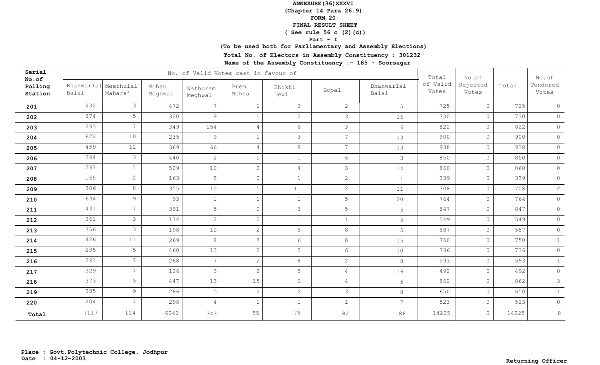**(Chapter 14 Para 26.9)**

**FORM 20**

 **FINAL RESULT SHEET**

 **( See rule 56 c (2)(c))**

### **Part - I**

## **(To be used both for Parliamentary and Assembly Elections)**

**Total No. of Electors in Assembly Constituency : 301232**

| Serial<br>No.of    |                               |                 |                  |                     | No. of Valid Votes cast in favour of |                 |                 |                     | Total             | No.of             |       | No.of             |
|--------------------|-------------------------------|-----------------|------------------|---------------------|--------------------------------------|-----------------|-----------------|---------------------|-------------------|-------------------|-------|-------------------|
| Polling<br>Station | Bhanwarlal Meethulal<br>Balai | Maharaj         | Mohan<br>Meghwal | Nathuram<br>Meghwal | Prem<br>Mehra                        | Bhikhi<br>Devi  | Gopal           | Bhanwarlal<br>Balai | of Valid<br>Votes | Rejected<br>Votes | Total | Tendered<br>Votes |
| 201                | 232                           | $\mathcal{S}$   | 472              | $\overline{7}$      | $\mathbf{1}$                         | $\mathcal{S}$   | $\overline{2}$  | $5^{\circ}$         | 725               | $\circ$           | 725   | $\circ$           |
| 202                | 374                           | 5               | 320              | 9                   | $\mathbf{1}$                         | 2               | $\mathcal{S}$   | 16                  | 730               | $\overline{0}$    | 730   | $\circ$           |
| 203                | 293                           | $7\overline{ }$ | 349              | 154                 | $\overline{4}$                       | $6\overline{6}$ | 3               | 6                   | 822               | $\circ$           | 822   | $\circ$           |
| 204                | 622                           | 10              | 235              | 9                   | $\mathbf{1}$                         | $\mathcal{S}$   | $7\overline{ }$ | 13                  | 900               | $\circ$           | 900   | $\circledcirc$    |
| 205                | 459                           | 12              | 369              | 66                  | $\overline{4}$                       | $\,8\,$         | $7\overline{ }$ | 13                  | 938               | $\circ$           | 938   | $\circledcirc$    |
| 206                | 394                           | 3               | 440              | $\overline{2}$      | $\mathbf{1}$                         | $\mathbf{1}$    | $6\overline{6}$ | $\mathcal{S}$       | 850               | $\circledcirc$    | 850   | $\circ$           |
| 207                | 297                           | $\mathbf{1}$    | 529              | 10                  | $\overline{c}$                       | $\overline{4}$  | $\mathfrak{Z}$  | 14                  | 860               | $\circ$           | 860   | $\circledcirc$    |
| 208                | 165                           | $\mathbf{2}$    | 163              | 5                   | $\circ$                              | $\mathbf{1}$    | $\overline{2}$  | $\mathbf{1}$        | 339               | $\circ$           | 339   | $\circ$           |
| 209                | 306                           | 8               | 355              | 10                  | 5                                    | 11              | $\overline{2}$  | 11                  | 708               | $\circ$           | 708   | $\mathbf{2}$      |
| 210                | 634                           | $\overline{9}$  | 93               | $\mathbf{1}$        | $\mathbf{1}$                         | $\mathbf{1}$    | 5               | 20                  | 764               | $\circledcirc$    | 764   | $\circledcirc$    |
| 211                | 431                           | 7 <sup>7</sup>  | 391              | 5                   | $\circ$                              | $\mathcal{S}$   | 5               | 5                   | 847               | $\circ$           | 847   | $\circledcirc$    |
| 212                | 361                           | $\mathfrak{Z}$  | 174              | $\overline{2}$      | $\overline{2}$                       | $\mathbf{1}$    | $\mathbf{1}$    | 5                   | 549               | $\circ$           | 549   | $\circ$           |
| 213                | 356                           | 3               | 198              | 10                  | $\overline{2}$                       | 5               | $8\,$           | 5                   | 587               | $\circ$           | 587   | $\circledcirc$    |
| 214                | 426                           | 11              | 269              | 8                   | $7\overline{ }$                      | $6\overline{6}$ | $8\,$           | 15                  | 750               | $\circ$           | 750   | $\mathbf{1}$      |
| 215                | 235                           | 5               | 460              | 13                  | $\sqrt{2}$                           | 5               | 6               | 10                  | 736               | $\circ$           | 736   | $\circledcirc$    |
| 216                | 291                           | $7\overline{ }$ | 268              | $7\overline{ }$     | 2                                    | $\,8\,$         | $\overline{2}$  | $8\,$               | 593               | $\circ$           | 593   | $\mathbf{1}$      |
| 217                | 329                           | $7\overline{ }$ | 126              | $\mathcal{S}$       | $\overline{2}$                       | 5               | $\overline{4}$  | 16                  | 492               | $\circledcirc$    | 492   | $\circ$           |
| 218                | 373                           | 5               | 447              | 13                  | 15                                   | $\circ$         | $\overline{4}$  | 5                   | 862               | $\circ$           | 862   | $\mathcal{S}$     |
| 219                | 335                           | 9               | 286              | 5                   | $\overline{2}$                       | $\overline{2}$  | 3               | 8                   | 650               | $\circ$           | 650   | 1                 |
| 220                | 204                           | 7 <sup>1</sup>  | 298              | $\overline{4}$      | $\mathbf{1}$                         | $\mathbf{1}$    | $\mathbf 1$     | $7\overline{ }$     | 523               | $\circ$           | 523   | $\circ$           |
| Total              | 7117                          | 124             | 6242             | 343                 | 55                                   | 76              | 82              | 186                 | 14225             | $\circ$           | 14225 | 8                 |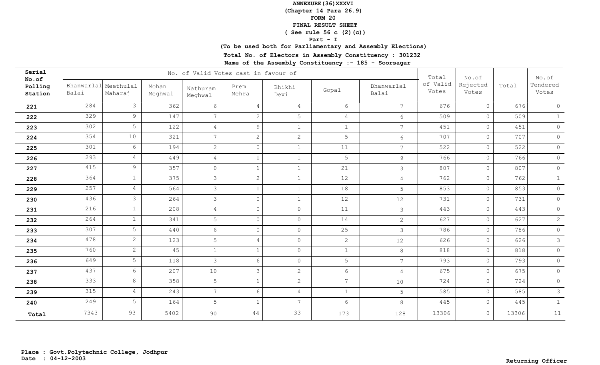**(Chapter 14 Para 26.9)**

**FORM 20**

 **FINAL RESULT SHEET**

 **( See rule 56 c (2)(c))**

### **Part - I**

## **(To be used both for Parliamentary and Assembly Elections)**

**Total No. of Electors in Assembly Constituency : 301232**

| Serial<br>No.of    |                     |                      |                  |                     | No. of Valid Votes cast in favour of |                 |                 |                     | Total             | No.of             |       | No.of             |
|--------------------|---------------------|----------------------|------------------|---------------------|--------------------------------------|-----------------|-----------------|---------------------|-------------------|-------------------|-------|-------------------|
| Polling<br>Station | Bhanwarlal<br>Balai | Meethulal<br>Maharaj | Mohan<br>Meghwal | Nathuram<br>Meghwal | Prem<br>Mehra                        | Bhikhi<br>Devi  | Gopal           | Bhanwarlal<br>Balai | of Valid<br>Votes | Rejected<br>Votes | Total | Tendered<br>Votes |
| 221                | 284                 | $\mathcal{S}$        | 362              | 6                   | $\overline{4}$                       | $\overline{4}$  | 6               | $7\overline{ }$     | 676               | $\circ$           | 676   | $\circledcirc$    |
| 222                | 329                 | 9                    | 147              | $7\overline{ }$     | $\mathbf{2}$                         | 5               | $\overline{4}$  | $6\overline{6}$     | 509               | $\circ$           | 509   | $\mathbf{1}$      |
| 223                | 302                 | 5                    | 122              | $\overline{4}$      | $\mathcal{G}$                        | $\mathbf{1}$    | $\mathbf{1}$    | $7\overline{ }$     | 451               | $\circ$           | 451   | $\circledcirc$    |
| 224                | 354                 | 10                   | 321              | 7 <sup>1</sup>      | $\sqrt{2}$                           | $\overline{c}$  | 5               | 6                   | 707               | $\circ$           | 707   | $\circledcirc$    |
| 225                | 301                 | 6                    | 194              | $\overline{2}$      | $\circ$                              | $\mathbf{1}$    | 11              | $7\overline{ }$     | 522               | $\circ$           | 522   | $\circledcirc$    |
| 226                | 293                 | $\overline{4}$       | 449              | $\overline{4}$      | $\mathbf 1$                          | $\mathbf{1}$    | 5               | 9                   | 766               | $\circ$           | 766   | $\circ$           |
| 227                | 415                 | 9 <sup>°</sup>       | 357              | $\circ$             | $\mathbf{1}$                         | $\mathbf{1}$    | 21              | $\mathcal{S}$       | 807               | $\circ$           | 807   | $\circ$           |
| 228                | 364                 | $\mathbf{1}$         | 375              | $\mathcal{S}$       | 2                                    | $\mathbf{1}$    | 12              | $\overline{4}$      | 762               | $\circ$           | 762   | $\mathbf{1}$      |
| 229                | 257                 | $\overline{4}$       | 564              | $\mathcal{S}$       | $1\,$                                | $\mathbf{1}$    | 18              | 5                   | 853               | $\circ$           | 853   | $\circledcirc$    |
| 230                | 436                 | $\mathcal{S}$        | 264              | $\mathcal{S}$       | $\circ$                              | $\mathbf{1}$    | 12              | 12                  | 731               | $\circ$           | 731   | $\circ$           |
| 231                | 216                 | $\mathbf{1}$         | 208              | $\overline{4}$      | $\circ$                              | $\circ$         | 11              | $\mathcal{S}$       | 443               | $\circ$           | 443   | $\circledcirc$    |
| 232                | 264                 | $\mathbf{1}$         | 341              | 5                   | $\circ$                              | $\circ$         | 14              | $\overline{2}$      | 627               | $\circ$           | 627   | $\overline{c}$    |
| 233                | 307                 | 5                    | 440              | 6                   | $\circ$                              | $\circ$         | 25              | 3                   | 786               | $\circ$           | 786   | $\circledcirc$    |
| 234                | 478                 | $\overline{2}$       | 123              | 5                   | $\overline{4}$                       | $\circ$         | $\overline{2}$  | 12                  | 626               | $\circ$           | 626   | $\mathcal{S}$     |
| 235                | 760                 | $\mathbf{2}$         | 45               | $\mathbf{1}$        | $\mathbf{1}$                         | $\circ$         | $\mathbf{1}$    | 8                   | 818               | $\circ$           | 818   | $\circledcirc$    |
| 236                | 649                 | 5 <sup>1</sup>       | 118              | 3                   | 6                                    | $\circ$         | 5               | $7\overline{ }$     | 793               | $\circ$           | 793   | $\circledcirc$    |
| 237                | 437                 | $6\overline{6}$      | 207              | 10                  | $\mathcal{E}$                        | 2               | 6               | $\overline{4}$      | 675               | $\circ$           | 675   | $\circledcirc$    |
| 238                | 333                 | 8                    | 358              | 5                   | $\mathbf{1}$                         | $\overline{2}$  | $7\overline{ }$ | 10                  | 724               | $\circ$           | 724   | $\circ$           |
| 239                | 315                 | $\overline{4}$       | 243              | $7\overline{ }$     | $6\phantom{1}6$                      | $\overline{4}$  | $\mathbf{1}$    | 5                   | 585               | $\circ$           | 585   | $\mathcal{S}$     |
| 240                | 249                 | 5                    | 164              | 5                   | $\mathbf{1}$                         | $7\phantom{.0}$ | 6               | 8                   | 445               | $\circ$           | 445   | 1                 |
| Total              | 7343                | 93                   | 5402             | 90                  | 44                                   | 33              | 173             | 128                 | 13306             | $\circ$           | 13306 | $11\,$            |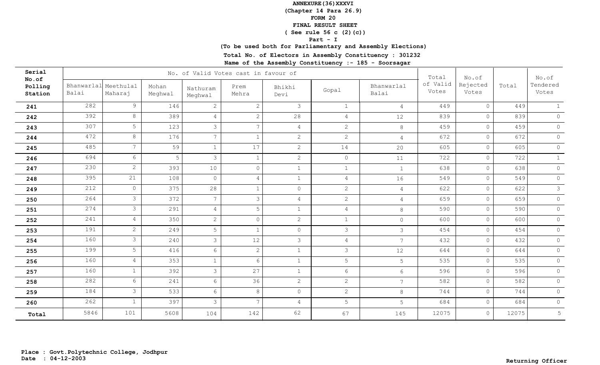**(Chapter 14 Para 26.9)**

**FORM 20**

 **FINAL RESULT SHEET**

 **( See rule 56 c (2)(c))**

### **Part - I**

## **(To be used both for Parliamentary and Assembly Elections)**

**Total No. of Electors in Assembly Constituency : 301232**

| Serial<br>No.of<br>Polling<br>Station |                     |                      | No. of Valid Votes cast in favour of | Total               | No.of          |                | No.of           |                     |                   |                   |       |                   |
|---------------------------------------|---------------------|----------------------|--------------------------------------|---------------------|----------------|----------------|-----------------|---------------------|-------------------|-------------------|-------|-------------------|
|                                       | Bhanwarlal<br>Balai | Meethulal<br>Maharaj | Mohan<br>Meghwal                     | Nathuram<br>Meghwal | Prem<br>Mehra  | Bhikhi<br>Devi | Gopal           | Bhanwarlal<br>Balai | of Valid<br>Votes | Rejected<br>Votes | Total | Tendered<br>Votes |
| 241                                   | 282                 | 9                    | 146                                  | $\mathbf{2}$        | 2              | $\mathcal{E}$  | $\mathbf{1}$    | $\overline{4}$      | 449               | $\circ$           | 449   | 1                 |
| 242                                   | 392                 | 8                    | 389                                  | $\overline{4}$      | $\mathbf{2}$   | 28             | $\overline{4}$  | 12                  | 839               | $\circ$           | 839   | $\circ$           |
| 243                                   | 307                 | 5                    | 123                                  | $\mathcal{E}$       | $\overline{7}$ | $\overline{4}$ | $\overline{2}$  | $8\,$               | 459               | $\circ$           | 459   | $\circledcirc$    |
| 244                                   | 472                 | 8                    | 176                                  | $7\overline{ }$     | $\mathbf{1}$   | 2              | $\overline{2}$  | $\overline{4}$      | 672               | $\circledcirc$    | 672   | $\circledcirc$    |
| 245                                   | 485                 | 7 <sup>7</sup>       | 59                                   | $\mathbf{1}$        | 17             | 2              | 14              | 20                  | 605               | $\circledcirc$    | 605   | $\circledcirc$    |
| 246                                   | 694                 | 6                    | 5                                    | 3                   | $\mathbf{1}$   | $\overline{2}$ | $\circ$         | 11                  | 722               | $\circ$           | 722   | 1                 |
| 247                                   | 230                 | $\overline{2}$       | 393                                  | 10                  | $\circ$        | $\mathbf{1}$   | $\mathbf{1}$    | $\mathbf{1}$        | 638               | $\circledcirc$    | 638   | $\circ$           |
| 248                                   | 395                 | 21                   | 108                                  | $\Omega$            | $\overline{4}$ | $\mathbf{1}$   | $\overline{4}$  | 16                  | 549               | $\circ$           | 549   | $\circ$           |
| 249                                   | 212                 | $\circ$              | 375                                  | 28                  | $\mathbf{1}$   | $\circ$        | $\overline{2}$  | $\overline{4}$      | 622               | $\circ$           | 622   | $\mathcal{S}$     |
| 250                                   | 264                 | $\mathcal{S}$        | 372                                  | $7\overline{ }$     | $\mathcal{E}$  | $\overline{4}$ | $\overline{2}$  | $\overline{4}$      | 659               | $\circ$           | 659   | $\circ$           |
| 251                                   | 274                 | $\mathcal{S}$        | 291                                  | $\overline{4}$      | 5              | $\mathbf{1}$   | $\overline{4}$  | $\,8\,$             | 590               | $\circledcirc$    | 590   | $\circ$           |
| 252                                   | 241                 | $\overline{4}$       | 350                                  | $\overline{2}$      | $\circ$        | $\overline{c}$ | $\mathbf{1}$    | $\circ$             | 600               | $\circledcirc$    | 600   | $\circledcirc$    |
| 253                                   | 191                 | $\overline{2}$       | 249                                  | 5                   | $\mathbf{1}$   | $\circ$        | $\mathcal{S}$   | $\mathcal{S}$       | 454               | $\circledcirc$    | 454   | $\circ$           |
| 254                                   | 160                 | $\mathcal{S}$        | 240                                  | $\mathcal{S}$       | 12             | $\mathcal{E}$  | $\overline{4}$  | $7\overline{ }$     | 432               | $\circ$           | 432   | $\circledcirc$    |
| 255                                   | 199                 | 5 <sup>1</sup>       | 416                                  | 6                   | $\mathbf{2}$   | $\mathbf{1}$   | $\mathcal{S}$   | 12                  | 644               | $\circ$           | 644   | $\circledcirc$    |
| 256                                   | 160                 | $\overline{4}$       | 353                                  | $\mathbf{1}$        | 6              | $\mathbf{1}$   | 5               | 5                   | 535               | $\circ$           | 535   | $\circledcirc$    |
| 257                                   | 160                 | $\mathbf{1}$         | 392                                  | $\mathcal{S}$       | 27             | $\mathbf{1}$   | $6\overline{6}$ | $6\overline{6}$     | 596               | $\circledcirc$    | 596   | $\overline{0}$    |
| 258                                   | 282                 | 6                    | 241                                  | 6                   | 36             | $\overline{2}$ | $\overline{2}$  | $7\overline{ }$     | 582               | $\circ$           | 582   | $\circ$           |
| 259                                   | 184                 | $\mathcal{S}$        | 533                                  | 6                   | 8              | $\circ$        | $\overline{2}$  | $8\,$               | 744               | $\circledcirc$    | 744   | $\circledcirc$    |
| 260                                   | 262                 | $\mathbf{1}$         | 397                                  | 3                   | $\overline{7}$ | $\overline{4}$ | 5               | 5                   | 684               | $\circ$           | 684   | $\circ$           |
| Total                                 | 5846                | 101                  | 5608                                 | 104                 | 142            | 62             | 67              | 145                 | 12075             | $\circ$           | 12075 | 5                 |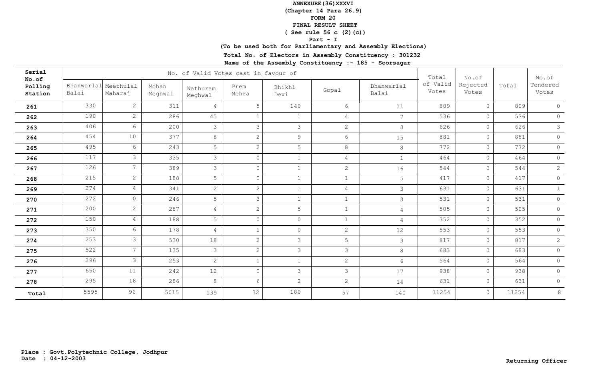**(Chapter 14 Para 26.9)**

**FORM 20**

 **FINAL RESULT SHEET**

 **( See rule 56 c (2)(c))**

### **Part - I**

## **(To be used both for Parliamentary and Assembly Elections)**

**Total No. of Electors in Assembly Constituency : 301232**

| Serial<br>No.of    |       |                                 | No. of Valid Votes cast in favour of | Total               | No.of          |                | No.of          |                     |                   |                   |       |                   |
|--------------------|-------|---------------------------------|--------------------------------------|---------------------|----------------|----------------|----------------|---------------------|-------------------|-------------------|-------|-------------------|
| Polling<br>Station | Balai | Bhanwarlal Meethulal<br>Maharaj | Mohan<br>Meghwal                     | Nathuram<br>Meghwal | Prem<br>Mehra  | Bhikhi<br>Devi | Gopal          | Bhanwarlal<br>Balai | of Valid<br>Votes | Rejected<br>Votes | Total | Tendered<br>Votes |
| 261                | 330   | $\overline{2}$                  | 311                                  | $\overline{4}$      | 5              | 140            | 6              | 11                  | 809               | $\overline{0}$    | 809   | $\circ$           |
| 262                | 190   | $\overline{2}$                  | 286                                  | 45                  | $\mathbf{1}$   | $\mathbf{1}$   | $\overline{4}$ | $7\phantom{.0}$     | 536               | $\circ$           | 536   | $\circ$           |
| 263                | 406   | $6\overline{6}$                 | 200                                  | 3                   | 3              | $\mathcal{S}$  | $\mathbf{2}$   | $\mathcal{S}$       | 626               | $\circ$           | 626   | $\mathcal{S}$     |
| 264                | 454   | 10                              | 377                                  | 8                   | $\overline{2}$ | 9              | 6              | 15                  | 881               | $\overline{0}$    | 881   | $\circ$           |
| 265                | 495   | 6                               | 243                                  | 5                   | $\overline{2}$ | 5              | 8              | $\,8\,$             | 772               | $\circ$           | 772   | $\circledcirc$    |
| 266                | 117   | $\mathcal{S}$                   | 335                                  | $\mathcal{S}$       | $\Omega$       | $\mathbf{1}$   | $\overline{4}$ | $\mathbf{1}$        | 464               | $\circ$           | 464   | $\circledcirc$    |
| 267                | 126   | $7^{\circ}$                     | 389                                  | $\mathcal{S}$       | $\overline{0}$ | $\mathbf{1}$   | $\mathbf{2}$   | 16                  | 544               | $\overline{0}$    | 544   | $\overline{2}$    |
| 268                | 215   | $\mathbf{2}$                    | 188                                  | 5                   | $\circ$        | $\mathbf{1}$   | $\mathbf{1}$   | 5                   | 417               | $\circ$           | 417   | $\circledcirc$    |
| 269                | 274   | $\overline{4}$                  | 341                                  | $\overline{2}$      | $\overline{2}$ | $\mathbf{1}$   | $\overline{4}$ | $\mathcal{S}$       | 631               | $\circ$           | 631   | $\mathbf{1}$      |
| 270                | 272   | $\circ$                         | 246                                  | 5                   | 3              | $\mathbf{1}$   | $\mathbf{1}$   | $\mathcal{S}$       | 531               | $\circ$           | 531   | $\circ$           |
| 271                | 200   | $\mathbf{2}$                    | 287                                  | $\overline{4}$      | $\overline{2}$ | 5              | $\mathbf{1}$   | $\overline{4}$      | 505               | $\circ$           | 505   | $\circ$           |
| 272                | 150   | $\overline{4}$                  | 188                                  | 5                   | $\circ$        | $\circ$        | $\mathbf{1}$   | $\overline{4}$      | 352               | $\circ$           | 352   | $\circ$           |
| 273                | 350   | 6                               | 178                                  | $\overline{4}$      | 1              | $\circ$        | $\mathbf{2}$   | 12                  | 553               | $\circ$           | 553   | $\circ$           |
| 274                | 253   | $\mathcal{S}$                   | 530                                  | 18                  | $\overline{2}$ | $\mathcal{S}$  | 5              | $\mathcal{S}$       | 817               | $\circ$           | 817   | $\mathbf{2}$      |
| 275                | 522   | 7 <sup>7</sup>                  | 135                                  | $\mathcal{S}$       | $\mathbf{2}$   | $\mathcal{S}$  | $\mathcal{S}$  | $8\,$               | 683               | $\circ$           | 683   | $\circ$           |
| 276                | 296   | $\mathfrak{Z}$                  | 253                                  | $\mathbf{2}$        | 1              | $\mathbf{1}$   | $\mathbf{2}$   | $6\overline{6}$     | 564               | $\circ$           | 564   | $\circ$           |
| 277                | 650   | 11                              | 242                                  | 12                  | $\overline{0}$ | $\mathcal{S}$  | 3              | 17                  | 938               | $\circ$           | 938   | $\overline{0}$    |
| 278                | 295   | 18                              | 286                                  | 8                   | 6              | 2              | $\overline{2}$ | 14                  | 631               | $\circ$           | 631   | $\circ$           |
| Total              | 5595  | 96                              | 5015                                 | 139                 | 32             | 180            | 57             | 140                 | 11254             | $\circledcirc$    | 11254 | $\,8\,$           |